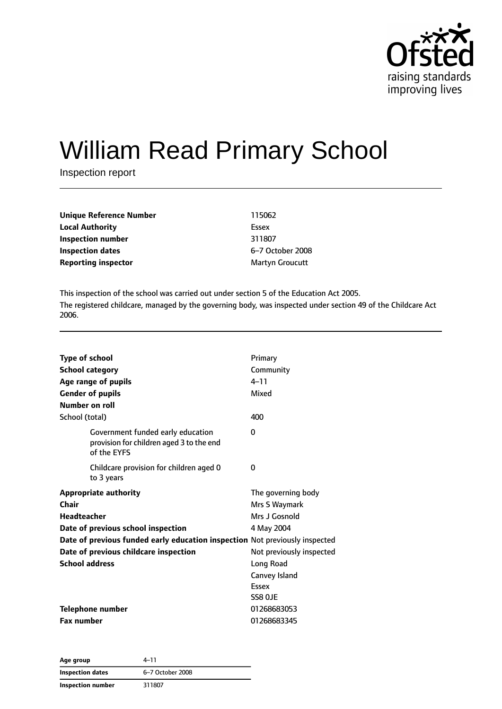

# William Read Primary School

Inspection report

| Unique Reference Number    | 115062           |
|----------------------------|------------------|
| <b>Local Authority</b>     | Essex            |
| Inspection number          | 311807           |
| Inspection dates           | 6-7 October 2008 |
| <b>Reporting inspector</b> | Martyn Groucutt  |

This inspection of the school was carried out under section 5 of the Education Act 2005. The registered childcare, managed by the governing body, was inspected under section 49 of the Childcare Act 2006.

| <b>Type of school</b><br><b>School category</b><br>Age range of pupils<br><b>Gender of pupils</b><br>Number on roll | Primary<br>Community<br>$4 - 11$<br>Mixed |
|---------------------------------------------------------------------------------------------------------------------|-------------------------------------------|
| School (total)                                                                                                      | 400                                       |
| Government funded early education<br>provision for children aged 3 to the end<br>of the EYFS                        | $\Omega$                                  |
| Childcare provision for children aged 0<br>to 3 years                                                               | 0                                         |
| <b>Appropriate authority</b>                                                                                        | The governing body                        |
| Chair                                                                                                               | Mrs S Waymark                             |
| <b>Headteacher</b>                                                                                                  | Mrs J Gosnold                             |
| Date of previous school inspection                                                                                  | 4 May 2004                                |
| Date of previous funded early education inspection Not previously inspected                                         |                                           |
| Date of previous childcare inspection                                                                               | Not previously inspected                  |
| <b>School address</b>                                                                                               | Long Road                                 |
|                                                                                                                     | Canvey Island                             |
|                                                                                                                     | Essex                                     |
|                                                                                                                     | SS8 OJE                                   |
| <b>Telephone number</b>                                                                                             | 01268683053                               |
| <b>Fax number</b>                                                                                                   | 01268683345                               |

| Age group               | 4–11             |  |
|-------------------------|------------------|--|
| <b>Inspection dates</b> | 6-7 October 2008 |  |
| Inspection number       | 311807           |  |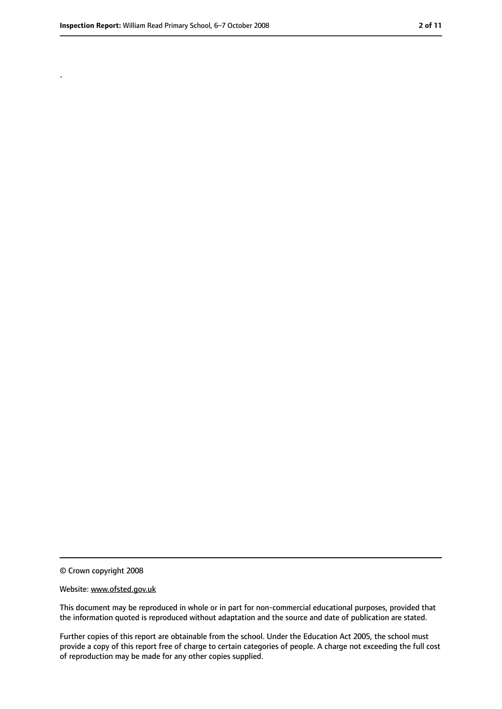.

<sup>©</sup> Crown copyright 2008

Website: www.ofsted.gov.uk

This document may be reproduced in whole or in part for non-commercial educational purposes, provided that the information quoted is reproduced without adaptation and the source and date of publication are stated.

Further copies of this report are obtainable from the school. Under the Education Act 2005, the school must provide a copy of this report free of charge to certain categories of people. A charge not exceeding the full cost of reproduction may be made for any other copies supplied.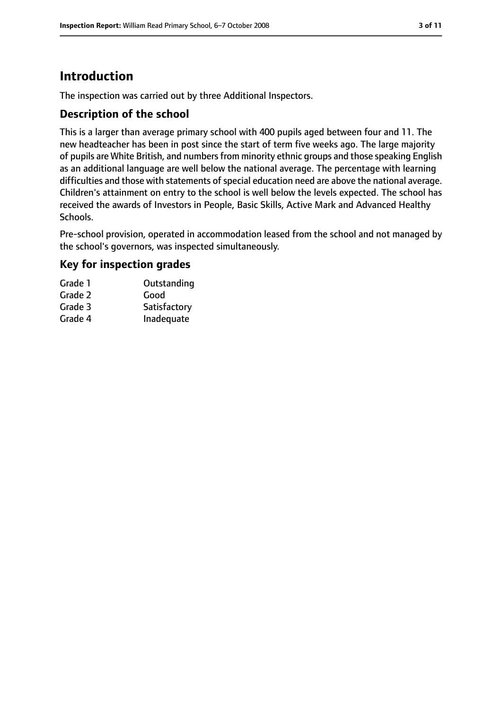### **Introduction**

The inspection was carried out by three Additional Inspectors.

#### **Description of the school**

This is a larger than average primary school with 400 pupils aged between four and 11. The new headteacher has been in post since the start of term five weeks ago. The large majority of pupils are White British, and numbers from minority ethnic groups and those speaking English as an additional language are well below the national average. The percentage with learning difficulties and those with statements of special education need are above the national average. Children's attainment on entry to the school is well below the levels expected. The school has received the awards of Investors in People, Basic Skills, Active Mark and Advanced Healthy Schools.

Pre-school provision, operated in accommodation leased from the school and not managed by the school's governors, was inspected simultaneously.

#### **Key for inspection grades**

| Grade 1 | Outstanding  |
|---------|--------------|
| Grade 2 | Good         |
| Grade 3 | Satisfactory |
| Grade 4 | Inadequate   |
|         |              |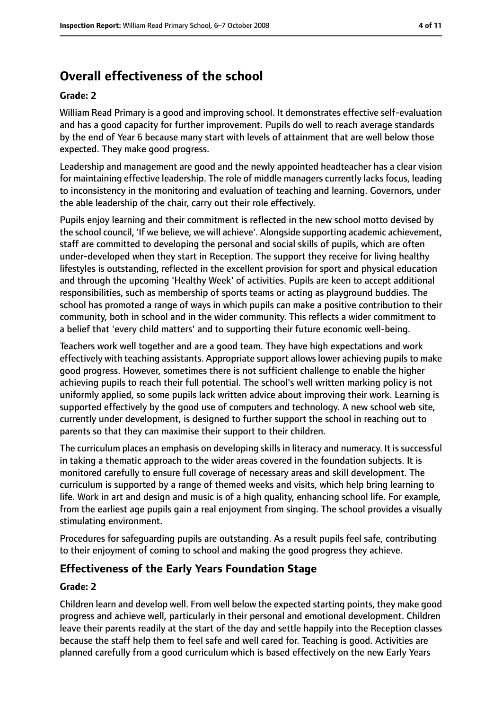### **Overall effectiveness of the school**

#### **Grade: 2**

William Read Primary is a good and improving school. It demonstrates effective self-evaluation and has a good capacity for further improvement. Pupils do well to reach average standards by the end of Year 6 because many start with levels of attainment that are well below those expected. They make good progress.

Leadership and management are good and the newly appointed headteacher has a clear vision for maintaining effective leadership. The role of middle managers currently lacks focus, leading to inconsistency in the monitoring and evaluation of teaching and learning. Governors, under the able leadership of the chair, carry out their role effectively.

Pupils enjoy learning and their commitment is reflected in the new school motto devised by the school council, 'If we believe, we will achieve'. Alongside supporting academic achievement, staff are committed to developing the personal and social skills of pupils, which are often under-developed when they start in Reception. The support they receive for living healthy lifestyles is outstanding, reflected in the excellent provision for sport and physical education and through the upcoming 'Healthy Week' of activities. Pupils are keen to accept additional responsibilities, such as membership of sports teams or acting as playground buddies. The school has promoted a range of ways in which pupils can make a positive contribution to their community, both in school and in the wider community. This reflects a wider commitment to a belief that 'every child matters' and to supporting their future economic well-being.

Teachers work well together and are a good team. They have high expectations and work effectively with teaching assistants. Appropriate support allows lower achieving pupils to make good progress. However, sometimes there is not sufficient challenge to enable the higher achieving pupils to reach their full potential. The school's well written marking policy is not uniformly applied, so some pupils lack written advice about improving their work. Learning is supported effectively by the good use of computers and technology. A new school web site, currently under development, is designed to further support the school in reaching out to parents so that they can maximise their support to their children.

The curriculum places an emphasis on developing skills in literacy and numeracy. It is successful in taking a thematic approach to the wider areas covered in the foundation subjects. It is monitored carefully to ensure full coverage of necessary areas and skill development. The curriculum is supported by a range of themed weeks and visits, which help bring learning to life. Work in art and design and music is of a high quality, enhancing school life. For example, from the earliest age pupils gain a real enjoyment from singing. The school provides a visually stimulating environment.

Procedures for safeguarding pupils are outstanding. As a result pupils feel safe, contributing to their enjoyment of coming to school and making the good progress they achieve.

### **Effectiveness of the Early Years Foundation Stage**

#### **Grade: 2**

Children learn and develop well. From well below the expected starting points, they make good progress and achieve well, particularly in their personal and emotional development. Children leave their parents readily at the start of the day and settle happily into the Reception classes because the staff help them to feel safe and well cared for. Teaching is good. Activities are planned carefully from a good curriculum which is based effectively on the new Early Years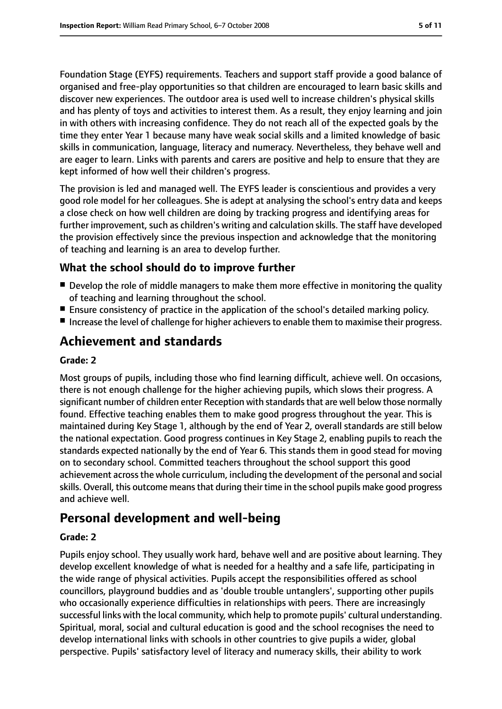Foundation Stage (EYFS) requirements. Teachers and support staff provide a good balance of organised and free-play opportunities so that children are encouraged to learn basic skills and discover new experiences. The outdoor area is used well to increase children's physical skills and has plenty of toys and activities to interest them. As a result, they enjoy learning and join in with others with increasing confidence. They do not reach all of the expected goals by the time they enter Year 1 because many have weak social skills and a limited knowledge of basic skills in communication, language, literacy and numeracy. Nevertheless, they behave well and are eager to learn. Links with parents and carers are positive and help to ensure that they are kept informed of how well their children's progress.

The provision is led and managed well. The EYFS leader is conscientious and provides a very good role model for her colleagues. She is adept at analysing the school's entry data and keeps a close check on how well children are doing by tracking progress and identifying areas for further improvement, such as children's writing and calculation skills. The staff have developed the provision effectively since the previous inspection and acknowledge that the monitoring of teaching and learning is an area to develop further.

#### **What the school should do to improve further**

- Develop the role of middle managers to make them more effective in monitoring the quality of teaching and learning throughout the school.
- Ensure consistency of practice in the application of the school's detailed marking policy.
- Increase the level of challenge for higher achievers to enable them to maximise their progress.

### **Achievement and standards**

#### **Grade: 2**

Most groups of pupils, including those who find learning difficult, achieve well. On occasions, there is not enough challenge for the higher achieving pupils, which slows their progress. A significant number of children enter Reception with standards that are well below those normally found. Effective teaching enables them to make good progress throughout the year. This is maintained during Key Stage 1, although by the end of Year 2, overall standards are still below the national expectation. Good progress continues in Key Stage 2, enabling pupils to reach the standards expected nationally by the end of Year 6. This stands them in good stead for moving on to secondary school. Committed teachers throughout the school support this good achievement across the whole curriculum, including the development of the personal and social skills. Overall, this outcome means that during their time in the school pupils make good progress and achieve well.

### **Personal development and well-being**

#### **Grade: 2**

Pupils enjoy school. They usually work hard, behave well and are positive about learning. They develop excellent knowledge of what is needed for a healthy and a safe life, participating in the wide range of physical activities. Pupils accept the responsibilities offered as school councillors, playground buddies and as 'double trouble untanglers', supporting other pupils who occasionally experience difficulties in relationships with peers. There are increasingly successful links with the local community, which help to promote pupils' cultural understanding. Spiritual, moral, social and cultural education is good and the school recognises the need to develop international links with schools in other countries to give pupils a wider, global perspective. Pupils' satisfactory level of literacy and numeracy skills, their ability to work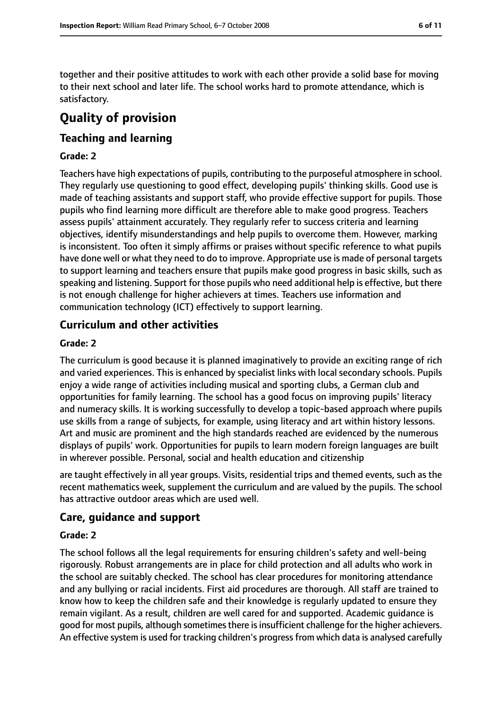together and their positive attitudes to work with each other provide a solid base for moving to their next school and later life. The school works hard to promote attendance, which is satisfactory.

## **Quality of provision**

#### **Teaching and learning**

#### **Grade: 2**

Teachers have high expectations of pupils, contributing to the purposeful atmosphere in school. They regularly use questioning to good effect, developing pupils' thinking skills. Good use is made of teaching assistants and support staff, who provide effective support for pupils. Those pupils who find learning more difficult are therefore able to make good progress. Teachers assess pupils' attainment accurately. They regularly refer to success criteria and learning objectives, identify misunderstandings and help pupils to overcome them. However, marking is inconsistent. Too often it simply affirms or praises without specific reference to what pupils have done well or what they need to do to improve. Appropriate use is made of personal targets to support learning and teachers ensure that pupils make good progress in basic skills, such as speaking and listening. Support for those pupils who need additional help is effective, but there is not enough challenge for higher achievers at times. Teachers use information and communication technology (ICT) effectively to support learning.

#### **Curriculum and other activities**

#### **Grade: 2**

The curriculum is good because it is planned imaginatively to provide an exciting range of rich and varied experiences. This is enhanced by specialist links with local secondary schools. Pupils enjoy a wide range of activities including musical and sporting clubs, a German club and opportunities for family learning. The school has a good focus on improving pupils' literacy and numeracy skills. It is working successfully to develop a topic-based approach where pupils use skills from a range of subjects, for example, using literacy and art within history lessons. Art and music are prominent and the high standards reached are evidenced by the numerous displays of pupils' work. Opportunities for pupils to learn modern foreign languages are built in wherever possible. Personal, social and health education and citizenship

are taught effectively in all year groups. Visits, residential trips and themed events, such as the recent mathematics week, supplement the curriculum and are valued by the pupils. The school has attractive outdoor areas which are used well.

#### **Care, guidance and support**

#### **Grade: 2**

The school follows all the legal requirements for ensuring children's safety and well-being rigorously. Robust arrangements are in place for child protection and all adults who work in the school are suitably checked. The school has clear procedures for monitoring attendance and any bullying or racial incidents. First aid procedures are thorough. All staff are trained to know how to keep the children safe and their knowledge is regularly updated to ensure they remain vigilant. As a result, children are well cared for and supported. Academic guidance is good for most pupils, although sometimes there is insufficient challenge for the higher achievers. An effective system is used for tracking children's progress from which data is analysed carefully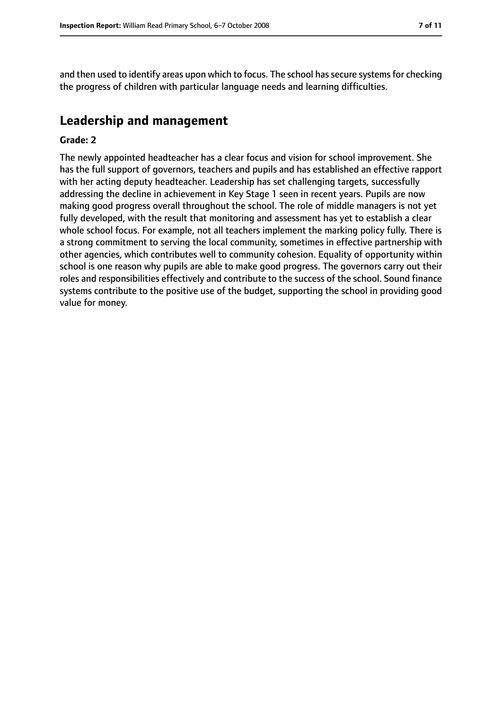and then used to identify areas upon which to focus. The school has secure systems for checking the progress of children with particular language needs and learning difficulties.

#### **Leadership and management**

#### **Grade: 2**

The newly appointed headteacher has a clear focus and vision for school improvement. She has the full support of governors, teachers and pupils and has established an effective rapport with her acting deputy headteacher. Leadership has set challenging targets, successfully addressing the decline in achievement in Key Stage 1 seen in recent years. Pupils are now making good progress overall throughout the school. The role of middle managers is not yet fully developed, with the result that monitoring and assessment has yet to establish a clear whole school focus. For example, not all teachers implement the marking policy fully. There is a strong commitment to serving the local community, sometimes in effective partnership with other agencies, which contributes well to community cohesion. Equality of opportunity within school is one reason why pupils are able to make good progress. The governors carry out their roles and responsibilities effectively and contribute to the success of the school. Sound finance systems contribute to the positive use of the budget, supporting the school in providing good value for money.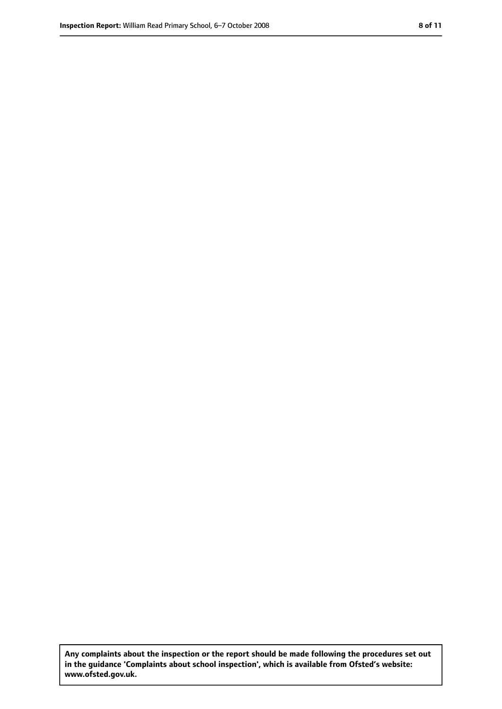**Any complaints about the inspection or the report should be made following the procedures set out in the guidance 'Complaints about school inspection', which is available from Ofsted's website: www.ofsted.gov.uk.**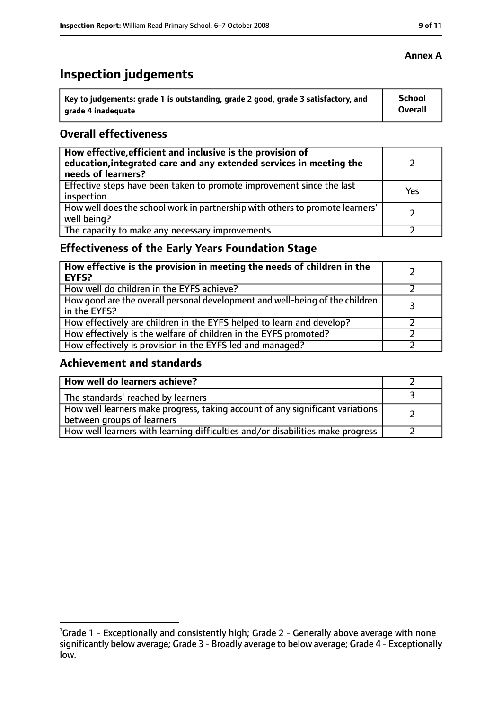### **Inspection judgements**

| Key to judgements: grade 1 is outstanding, grade 2 good, grade 3 satisfactory, and | <b>School</b>  |
|------------------------------------------------------------------------------------|----------------|
| arade 4 inadequate                                                                 | <b>Overall</b> |

#### **Overall effectiveness**

| How effective, efficient and inclusive is the provision of<br>education, integrated care and any extended services in meeting the<br>needs of learners? |     |
|---------------------------------------------------------------------------------------------------------------------------------------------------------|-----|
| Effective steps have been taken to promote improvement since the last<br>inspection                                                                     | Yes |
| How well does the school work in partnership with others to promote learners'<br>well being?                                                            |     |
| The capacity to make any necessary improvements                                                                                                         |     |

### **Effectiveness of the Early Years Foundation Stage**

| How effective is the provision in meeting the needs of children in the<br><b>EYFS?</b>       |   |
|----------------------------------------------------------------------------------------------|---|
| How well do children in the EYFS achieve?                                                    |   |
| How good are the overall personal development and well-being of the children<br>in the EYFS? | 3 |
| How effectively are children in the EYFS helped to learn and develop?                        |   |
| How effectively is the welfare of children in the EYFS promoted?                             |   |
| How effectively is provision in the EYFS led and managed?                                    |   |

#### **Achievement and standards**

| How well do learners achieve?                                                                               |  |
|-------------------------------------------------------------------------------------------------------------|--|
| The standards <sup>1</sup> reached by learners                                                              |  |
| How well learners make progress, taking account of any significant variations<br>between groups of learners |  |
| How well learners with learning difficulties and/or disabilities make progress                              |  |

#### **Annex A**

<sup>&</sup>lt;sup>1</sup>Grade 1 - Exceptionally and consistently high; Grade 2 - Generally above average with none

significantly below average; Grade 3 - Broadly average to below average; Grade 4 - Exceptionally low.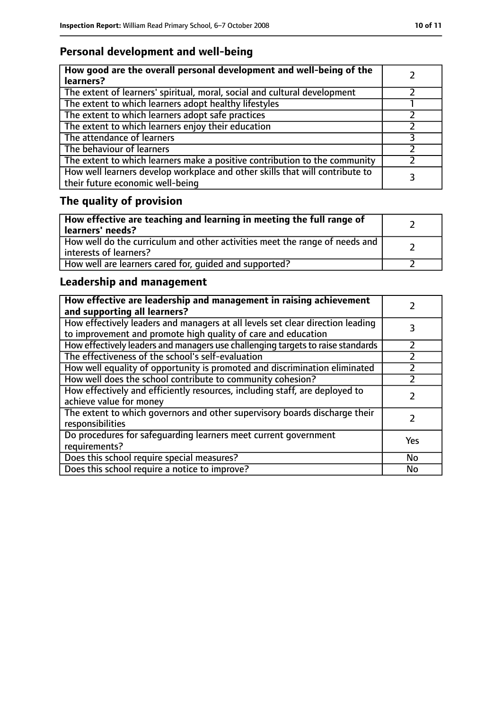### **Personal development and well-being**

| How good are the overall personal development and well-being of the<br>learners?                                 |  |
|------------------------------------------------------------------------------------------------------------------|--|
| The extent of learners' spiritual, moral, social and cultural development                                        |  |
| The extent to which learners adopt healthy lifestyles                                                            |  |
| The extent to which learners adopt safe practices                                                                |  |
| The extent to which learners enjoy their education                                                               |  |
| The attendance of learners                                                                                       |  |
| The behaviour of learners                                                                                        |  |
| The extent to which learners make a positive contribution to the community                                       |  |
| How well learners develop workplace and other skills that will contribute to<br>their future economic well-being |  |

### **The quality of provision**

| How effective are teaching and learning in meeting the full range of<br>learners' needs?              |  |
|-------------------------------------------------------------------------------------------------------|--|
| How well do the curriculum and other activities meet the range of needs and<br>interests of learners? |  |
| How well are learners cared for, quided and supported?                                                |  |

### **Leadership and management**

| How effective are leadership and management in raising achievement<br>and supporting all learners?                                              |     |
|-------------------------------------------------------------------------------------------------------------------------------------------------|-----|
| How effectively leaders and managers at all levels set clear direction leading<br>to improvement and promote high quality of care and education |     |
| How effectively leaders and managers use challenging targets to raise standards                                                                 |     |
| The effectiveness of the school's self-evaluation                                                                                               |     |
| How well equality of opportunity is promoted and discrimination eliminated                                                                      |     |
| How well does the school contribute to community cohesion?                                                                                      |     |
| How effectively and efficiently resources, including staff, are deployed to<br>achieve value for money                                          |     |
| The extent to which governors and other supervisory boards discharge their<br>responsibilities                                                  |     |
| Do procedures for safequarding learners meet current government<br>requirements?                                                                | Yes |
| Does this school require special measures?                                                                                                      | No  |
| Does this school require a notice to improve?                                                                                                   | No  |